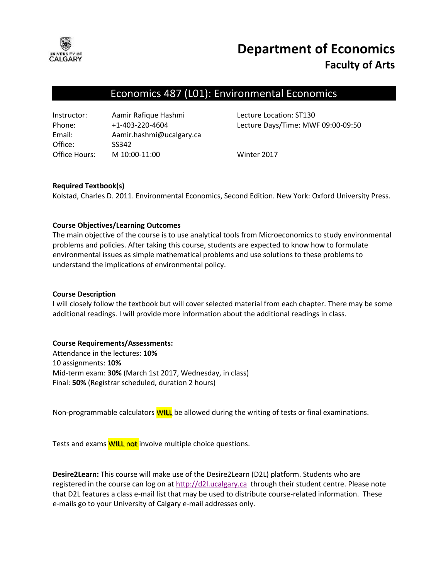

# **Department of Economics Faculty of Arts**

# Economics 487 (L01): Environmental Economics

| Aamir Rafique Hashmi     |
|--------------------------|
| $+1 - 403 - 220 - 4604$  |
| Aamir.hashmi@ucalgary.ca |
| SS342                    |
| M 10:00-11:00            |
|                          |

Lecture Location: ST130 Lecture Days/Time: MWF 09:00-09:50

Winter 2017

# **Required Textbook(s)**

Kolstad, Charles D. 2011. Environmental Economics, Second Edition. New York: Oxford University Press.

# **Course Objectives/Learning Outcomes**

The main objective of the course is to use analytical tools from Microeconomics to study environmental problems and policies. After taking this course, students are expected to know how to formulate environmental issues as simple mathematical problems and use solutions to these problems to understand the implications of environmental policy.

# **Course Description**

I will closely follow the textbook but will cover selected material from each chapter. There may be some additional readings. I will provide more information about the additional readings in class.

# **Course Requirements/Assessments:**

Attendance in the lectures: **10%** 10 assignments: **10%** Mid-term exam: **30%** (March 1st 2017, Wednesday, in class) Final: **50%** (Registrar scheduled, duration 2 hours)

Non-programmable calculators **WILL** be allowed during the writing of tests or final examinations.

Tests and exams **WILL not** involve multiple choice questions.

**Desire2Learn:** This course will make use of the Desire2Learn (D2L) platform. Students who are registered in the course can log on at [http://d2l.ucalgary.ca](http://d2l.ucalgary.ca/) through their student centre. Please note that D2L features a class e-mail list that may be used to distribute course-related information. These e-mails go to your University of Calgary e-mail addresses only.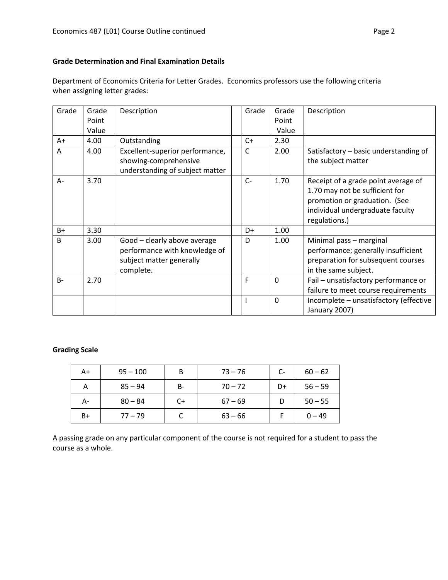# **Grade Determination and Final Examination Details**

Department of Economics Criteria for Letter Grades. Economics professors use the following criteria when assigning letter grades:

| Grade        | Grade | Description                                                                                            | Grade | Grade       | Description                                                                                                                                                 |
|--------------|-------|--------------------------------------------------------------------------------------------------------|-------|-------------|-------------------------------------------------------------------------------------------------------------------------------------------------------------|
|              | Point |                                                                                                        |       | Point       |                                                                                                                                                             |
|              | Value |                                                                                                        |       | Value       |                                                                                                                                                             |
| A+           | 4.00  | Outstanding                                                                                            | $C+$  | 2.30        |                                                                                                                                                             |
| A            | 4.00  | Excellent-superior performance,<br>showing-comprehensive<br>understanding of subject matter            | C     | 2.00        | Satisfactory - basic understanding of<br>the subject matter                                                                                                 |
| A-           | 3.70  |                                                                                                        | $C-$  | 1.70        | Receipt of a grade point average of<br>1.70 may not be sufficient for<br>promotion or graduation. (See<br>individual undergraduate faculty<br>regulations.) |
| $B+$         | 3.30  |                                                                                                        | D+    | 1.00        |                                                                                                                                                             |
| <sub>B</sub> | 3.00  | Good - clearly above average<br>performance with knowledge of<br>subject matter generally<br>complete. | D     | 1.00        | Minimal pass - marginal<br>performance; generally insufficient<br>preparation for subsequent courses<br>in the same subject.                                |
| $B -$        | 2.70  |                                                                                                        | F     | $\mathbf 0$ | Fail - unsatisfactory performance or<br>failure to meet course requirements                                                                                 |
|              |       |                                                                                                        | I.    | $\mathbf 0$ | Incomplete - unsatisfactory (effective<br>January 2007)                                                                                                     |

#### **Grading Scale**

| A+   | $95 - 100$ | B  | $73 - 76$ | C- | $60 - 62$ |
|------|------------|----|-----------|----|-----------|
| А    | $85 - 94$  | B- | $70 - 72$ | D+ | $56 - 59$ |
| А-   | $80 - 84$  | C+ | $67 - 69$ |    | $50 - 55$ |
| $B+$ | $77 - 79$  |    | $63 - 66$ |    | $0 - 49$  |

A passing grade on any particular component of the course is not required for a student to pass the course as a whole.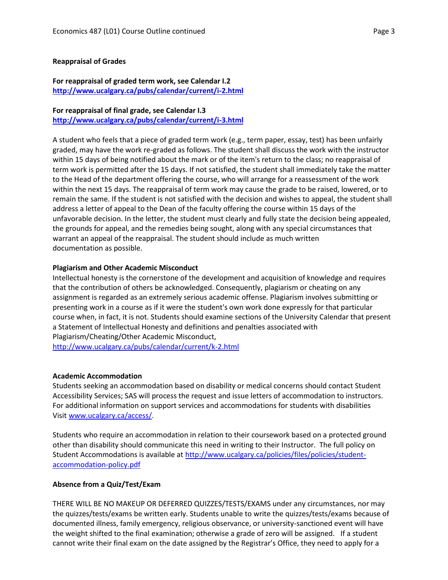#### **Reappraisal of Grades**

# **For reappraisal of graded term work, see Calendar I.2 <http://www.ucalgary.ca/pubs/calendar/current/i-2.html>**

# **For reappraisal of final grade, see Calendar I.3**

**<http://www.ucalgary.ca/pubs/calendar/current/i-3.html>**

A student who feels that a piece of graded term work (e.g., term paper, essay, test) has been unfairly graded, may have the work re-graded as follows. The student shall discuss the work with the instructor within 15 days of being notified about the mark or of the item's return to the class; no reappraisal of term work is permitted after the 15 days. If not satisfied, the student shall immediately take the matter to the Head of the department offering the course, who will arrange for a reassessment of the work within the next 15 days. The reappraisal of term work may cause the grade to be raised, lowered, or to remain the same. If the student is not satisfied with the decision and wishes to appeal, the student shall address a letter of appeal to the Dean of the faculty offering the course within 15 days of the unfavorable decision. In the letter, the student must clearly and fully state the decision being appealed, the grounds for appeal, and the remedies being sought, along with any special circumstances that warrant an appeal of the reappraisal. The student should include as much written documentation as possible.

# **Plagiarism and Other Academic Misconduct**

Intellectual honesty is the cornerstone of the development and acquisition of knowledge and requires that the contribution of others be acknowledged. Consequently, plagiarism or cheating on any assignment is regarded as an extremely serious academic offense. Plagiarism involves submitting or presenting work in a course as if it were the student's own work done expressly for that particular course when, in fact, it is not. Students should examine sections of the University Calendar that present a Statement of Intellectual Honesty and definitions and penalties associated with Plagiarism/Cheating/Other Academic Misconduct,

<http://www.ucalgary.ca/pubs/calendar/current/k-2.html>

# **Academic Accommodation**

Students seeking an accommodation based on disability or medical concerns should contact Student Accessibility Services; SAS will process the request and issue letters of accommodation to instructors. For additional information on support services and accommodations for students with disabilities Visit [www.ucalgary.ca/access/.](http://www.ucalgary.ca/access/)

Students who require an accommodation in relation to their coursework based on a protected ground other than disability should communicate this need in writing to their Instructor. The full policy on Student Accommodations is available at [http://www.ucalgary.ca/policies/files/policies/student](http://www.ucalgary.ca/policies/files/policies/student-accommodation-policy.pdf)[accommodation-policy.pdf](http://www.ucalgary.ca/policies/files/policies/student-accommodation-policy.pdf)

# **Absence from a Quiz/Test/Exam**

THERE WILL BE NO MAKEUP OR DEFERRED QUIZZES/TESTS/EXAMS under any circumstances, nor may the quizzes/tests/exams be written early. Students unable to write the quizzes/tests/exams because of documented illness, family emergency, religious observance, or university-sanctioned event will have the weight shifted to the final examination; otherwise a grade of zero will be assigned. If a student cannot write their final exam on the date assigned by the Registrar's Office, they need to apply for a